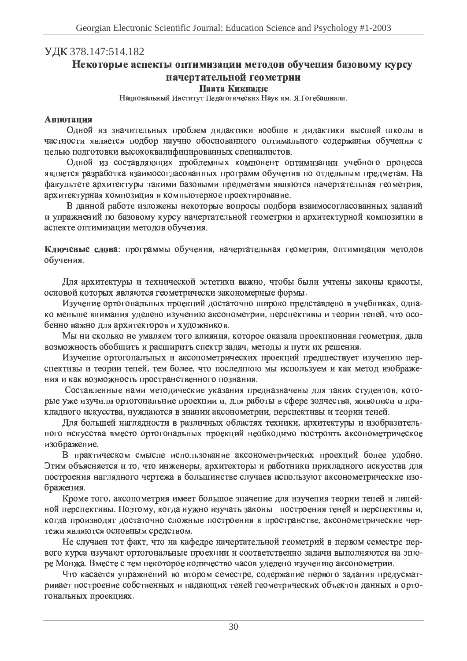## УДК 378.147:514.182

# Некоторые аспекты оптимизации методов обучения базовому курсу начертательной геометрии

### Паата Кикнадзе

Национальный Институт Педагогических Наук им. Я.Гогебашвили.

### **Аннотация**

Одной из значительных проблем дидактики вообще и дидактики высшей школы в частности является подбор научно обоснованного оптимального содержания обучения с целью подготовки высококвалифицированных специалистов.

Одной из составляющих проблемных компонент оптимизации учебного процесса является разработка взаимосогласованных программ обучения по отдельным предметам. На факультете архитектуры такими базовыми предметами являются начертательная геометрия, архитектурная композиция и компьютерное проектирование.

В данной работе изложены некоторые вопросы подбора взаимосогласованных заданий и упражнений по базовому курсу начертательной геометрии и архитектурной композиции в аспекте оптимизации методов обучения.

Ключевые слова: программы обучения, начертательная геометрия, оптимизация методов обучения.

Для архитектуры и технической эстетики важно, чтобы были учтены законы красоты, основой которых являются геометрически закономерные формы.

Изучение ортогональных проекций достаточно широко представлено в учебниках, однако меньше внимания уделено изучению аксонометрии, перспективы и теории теней, что особенно важно для архитекторов и художников.

Мы ни сколько не умаляем того влияния, которое оказала проекционная геометрия, дала возможность обобщить и расширить спектр задач, методы и пути их решения.

Изучение ортогональных и аксонометрических проекций предшествует изучению перспективы и теории теней, тем более, что последнюю мы используем и как метод изображения и как возможность пространственного познания.

Составленные нами методические указания предназначены для таких студентов, которые уже изучили ортогональние проекции и, для работы в сфере зодчества, живописи и прикладного искусства, нуждаются в знании аксонометрии, перспективы и теории теней.

Для большей наглядности в различных областях техники, архитектуры и изобразительного искусства вместо ортогональных проекций необходимо построить аксонометрическое изображение.

В практическом смысле использование аксонометрических проекций более удобно. Этим объясняется и то, что инженеры, архитекторы и работники прикладного искусства для построения наглядного чертежа в большинстве случаев используют аксонометрические изображения.

Кроме того, аксонометрия имеет большое значение для изучения теории теней и линейной перспективы. Поэтому, когда нужно изучать законы построения теней и перспективы и, когда производят достаточно сложные построения в пространстве, аксонометрические чертежи являются основным средством.

Не случаен тот факт, что на кафедре начертательной геометрий в первом семестре первого курса изучают ортогональные проекции и соответственно задачи выполняются на эпюре Монжа. Вместе с тем некоторое количество часов уделено изучению аксонометрии.

Что касается упражнений во втором семестре, содержание первого задания предусматривает построение собственных и падающих теней геометрических объектов данных в ортогональных проекциях.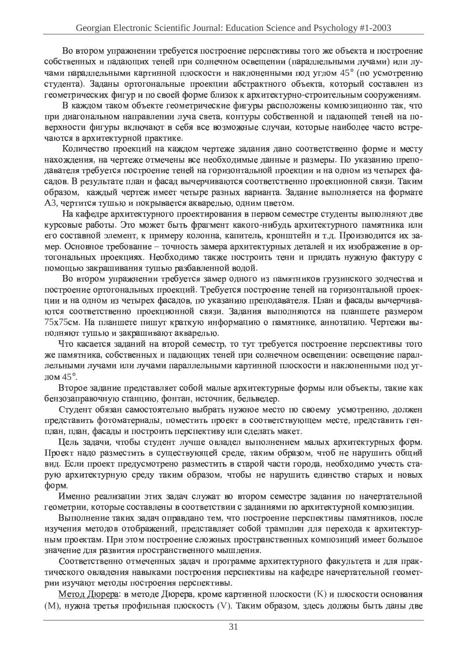Во втором упражнении нении требуется построени оение перспективы того же объекта и построени оение собственных и падающих тен х теней при солнечном освещении (параллельными лучами) или лучами параллельными картинной плоскости и нак. наклоненными под у юд углом 45° (по усмотрен отрению студента). Заданы ортогональные проекции абстрактного объекта, который составлен из геометрических фи х фигур и по сво о своей форме орме близок к архитектурно-строительным сооружениям.

В каждом таком объекте гео геометрические фигуры располож оложены композиционно онно так, что при диагональном направлении луча света, контуры собственной и падающей теней на поверхности фигуры включают в себ себя все в се возможные случаи, которые наиболее часто встречаются в архитектурной практике ike.

Количество проекций на й на каждом черт чертеже задания дано соответственно форме  $0$ орме и месту нахождения. дения, на чертеже отмечены все н ксе необходимые данные и разме азмеры. По указанию препо  $\overline{O}$ давателя требуется построени оение теней на горизонтальной проекции и на о на одном из четырех фасадов. В результате план и фасад и асад вычерчиваются соответственно проекционно онной связи. Таким образом азом, каждый черте: ертеж имеет четыре разнь азных варианта. Задание выполня олняется на формате АЗ, чертится тушью и покрывается акварелью, одним цветом.

under week also a а кафедре архитектурного проектирования в первом семестре студенты выполня олняют две курсовь совые работы. Это может быть фрагмент какого-нибудь будь архитектурного памятника ил ка или го составной элемент, к примеру колонна, капитель, кронштейн и т.д. Производится их замер. Основное требование - точность замера архитектурных деталей и их из х изображение в ортогональных проекциях. Необходимо также построить тени и придать нужную фактур aktvny c помощью закраши ашивания тушью разбавленной водой.

Во втором упражнении нении требуется замер одного из памятников грузинско нского зодчества и построени оение ортогональных проекций. Тр ій. Требуется построени оение теней на горизонтальной проекции и на о на одном из четырех фасадов, по указанию преподавателя. План и фасадь асады вычерчиваются соответственно проекционно юнной связи. Задания выполня олняются на планшете размеро 75х75см. На планшете пишут кратку аткую информаю ормацию о памятнике, а ке, аннотацию. Чертежи выc олняют тушью и закраши ашивают акварелью.

Что касается заданий на йна второй с ой семестр, то тут требуется построени оение перспективы того же памятника, собственных и падающих тен х теней при солнечном освещении: освещение параллельными лучами или лучами параллельными картинной нной плоскости и нак<u>;</u> наклоненными под уг од углом  $45^\circ$ .

Bropoe 38 ое задание представляет соб собой малые архитектурные формы ормы или объекты, такие как бензозаправочную станцию, фонтан, источник, бе. ік, бельведер.

Студент обязан самостоятельно выбрать в ать нужное место по своему усл у усмотрен отрению, должен представить фотома отоматери атериалы, поместить проект в соответствующем месте, представить ген re<sub>H</sub>план, план, фасады и построить перспективу или сделать м ать макет. акет.

 (ель задачи, чтобы студент лучше овладел адел выполне олнением малых архитектурных форм. Проект надо разместить в существующей среде, таким образом, чтоб не нарушить общий вид. Если проект предусмотрено разме азместить в старой ч ой части горс города, необходимо учесть старую архитектурную среду таким образом, чтобы не нарушить единство старых и новых орм.

Именно реализации этих зад х задач служат во ат во втором семе семестре задания по на о начертательной геометрии, которые составлены в соответствии с заданиями по арх о архитектурной композиции.

**Выполне** олнение таких задач оправдано тем, что построени оение перспективы памятников, после изучения методов отображений, пр й, представляет соб собой трамплин для перехода к архитектурным проектам. При этом построени оение сложных п ных пространственных композиций им й имеет большое значение для разви азвития пространственного мышления.

Соответственно отмеченных задач и программе архитектурного факультета и для для прак- $\sim$   $\sim$   $\sim$   $\sim$   $\sim$   $\sim$   $\sim$   $\sim$ ческог h\_ адения навыками построени оения перспективы на кафедре начертательной геометрии изучают методы построени оения перспективы.

Метод Дюрера: в и  $\underline{\mathbf{a}}$ : в методе Дюрера, кроме картинной плоскости (K) и плоскости основания (М), нужна третья профильная плоскость (V). Таким образом, здесь должны быть даны две